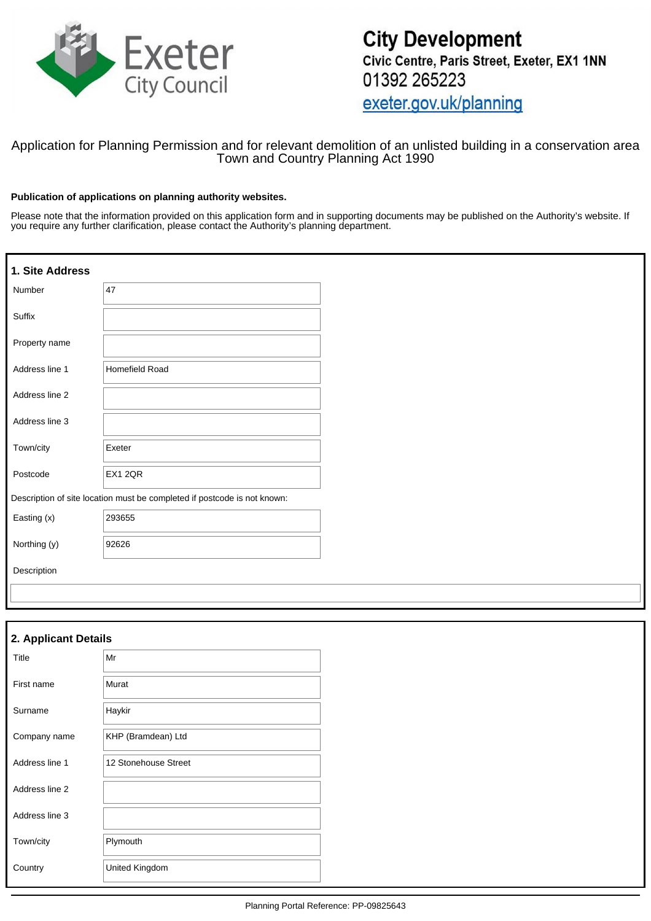

## Application for Planning Permission and for relevant demolition of an unlisted building in a conservation area Town and Country Planning Act 1990

#### **Publication of applications on planning authority websites.**

Please note that the information provided on this application form and in supporting documents may be published on the Authority's website. If you require any further clarification, please contact the Authority's planning department.

| 1. Site Address |                                                                          |  |
|-----------------|--------------------------------------------------------------------------|--|
| Number          | 47                                                                       |  |
| Suffix          |                                                                          |  |
| Property name   |                                                                          |  |
| Address line 1  | <b>Homefield Road</b>                                                    |  |
| Address line 2  |                                                                          |  |
| Address line 3  |                                                                          |  |
| Town/city       | Exeter                                                                   |  |
| Postcode        | <b>EX1 2QR</b>                                                           |  |
|                 | Description of site location must be completed if postcode is not known: |  |
| Easting (x)     | 293655                                                                   |  |
| Northing (y)    | 92626                                                                    |  |
| Description     |                                                                          |  |
|                 |                                                                          |  |

| 2. Applicant Details |                      |
|----------------------|----------------------|
| Title                | Mr                   |
| First name           | Murat                |
| Surname              | Haykir               |
| Company name         | KHP (Bramdean) Ltd   |
| Address line 1       | 12 Stonehouse Street |
| Address line 2       |                      |
| Address line 3       |                      |
| Town/city            | Plymouth             |
| Country              | United Kingdom       |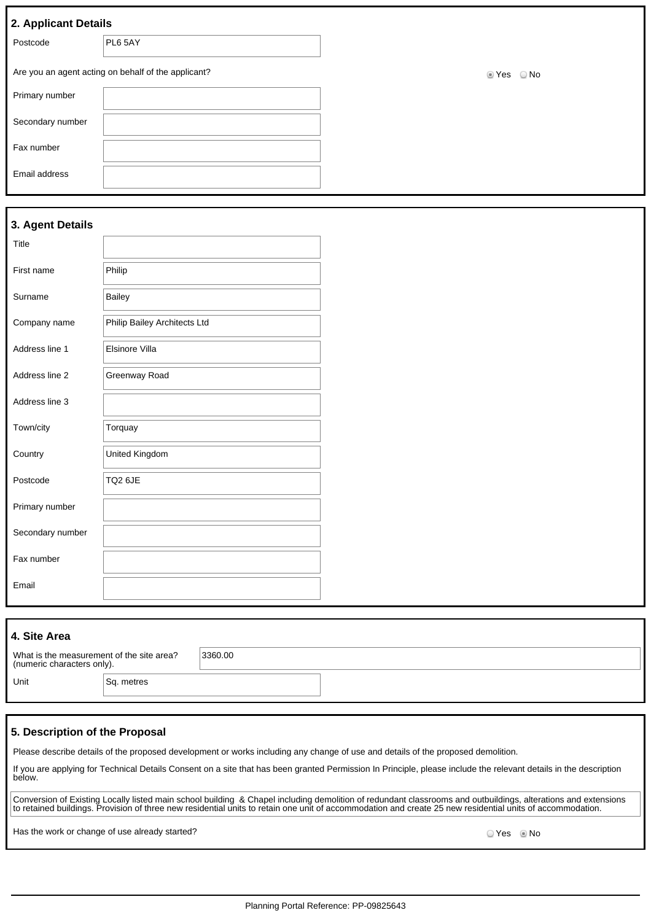|  | 2. Applicant Details |
|--|----------------------|

| . .              |                                                     |                         |
|------------------|-----------------------------------------------------|-------------------------|
| Postcode         | PL6 5AY                                             |                         |
|                  | Are you an agent acting on behalf of the applicant? | $\bigcirc$ No<br>ties ⊘ |
| Primary number   |                                                     |                         |
| Secondary number |                                                     |                         |
| Fax number       |                                                     |                         |
| Email address    |                                                     |                         |

## **3. Agent Details**

| Title            |                              |  |
|------------------|------------------------------|--|
| First name       | Philip                       |  |
| Surname          | <b>Bailey</b>                |  |
| Company name     | Philip Bailey Architects Ltd |  |
| Address line 1   | Elsinore Villa               |  |
| Address line 2   | Greenway Road                |  |
| Address line 3   |                              |  |
| Town/city        | Torquay                      |  |
| Country          | United Kingdom               |  |
| Postcode         | TQ2 6JE                      |  |
| Primary number   |                              |  |
| Secondary number |                              |  |
| Fax number       |                              |  |
| Email            |                              |  |

## **4. Site Area** What is the measurement of the site area? (numeric characters only). 3360.00 Unit Sq. metres

### **5. Description of the Proposal**

Please describe details of the proposed development or works including any change of use and details of the proposed demolition.

If you are applying for Technical Details Consent on a site that has been granted Permission In Principle, please include the relevant details in the description below.

Conversion of Existing Locally listed main school building & Chapel including demolition of redundant classrooms and outbuildings, alterations and extensions to retained buildings. Provision of three new residential units to retain one unit of accommodation and create 25 new residential units of accommodation.

Has the work or change of use already started? We say that we have not consider the work or change of use already started?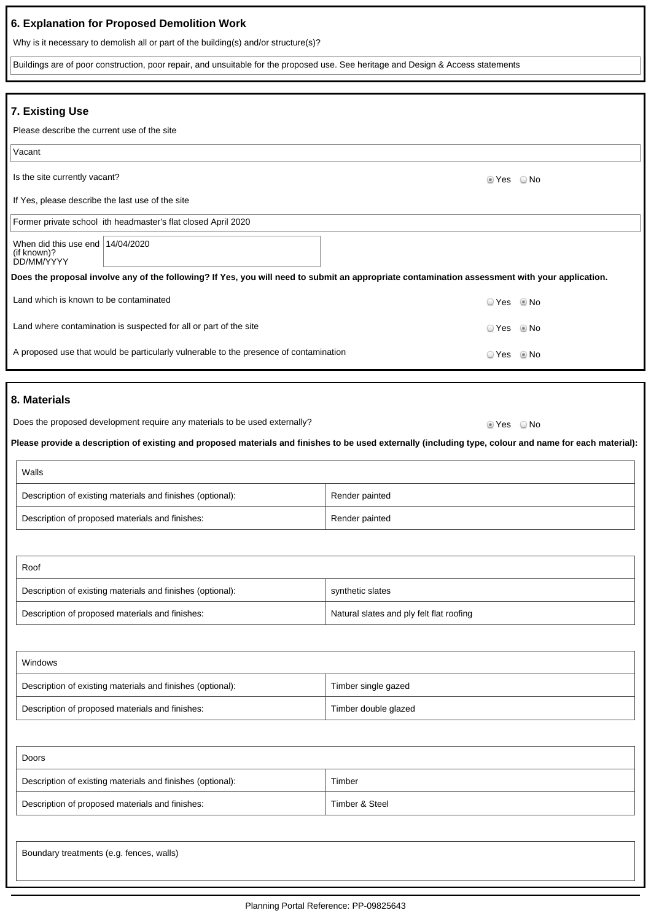| 6. Explanation for Proposed Demolition Work                                                                                                             |                                          |  |  |
|---------------------------------------------------------------------------------------------------------------------------------------------------------|------------------------------------------|--|--|
| Why is it necessary to demolish all or part of the building(s) and/or structure(s)?                                                                     |                                          |  |  |
| Buildings are of poor construction, poor repair, and unsuitable for the proposed use. See heritage and Design & Access statements                       |                                          |  |  |
|                                                                                                                                                         |                                          |  |  |
| 7. Existing Use                                                                                                                                         |                                          |  |  |
| Please describe the current use of the site                                                                                                             |                                          |  |  |
| Vacant                                                                                                                                                  |                                          |  |  |
| Is the site currently vacant?                                                                                                                           | t Yes<br>○ No                            |  |  |
| If Yes, please describe the last use of the site                                                                                                        |                                          |  |  |
| Former private school ith headmaster's flat closed April 2020                                                                                           |                                          |  |  |
| When did this use end $14/04/2020$<br>(if known)?<br>DD/MM/YYYY                                                                                         |                                          |  |  |
| Does the proposal involve any of the following? If Yes, you will need to submit an appropriate contamination assessment with your application.          |                                          |  |  |
| Land which is known to be contaminated                                                                                                                  | ⊙ Yes © No                               |  |  |
| Land where contamination is suspected for all or part of the site                                                                                       | ⊙ Yes     ® No                           |  |  |
| A proposed use that would be particularly vulnerable to the presence of contamination                                                                   | ⊙ Yes     ® No                           |  |  |
|                                                                                                                                                         |                                          |  |  |
| 8. Materials                                                                                                                                            |                                          |  |  |
| Does the proposed development require any materials to be used externally?                                                                              | ■ Yes © No                               |  |  |
| Please provide a description of existing and proposed materials and finishes to be used externally (including type, colour and name for each material): |                                          |  |  |
| Walls                                                                                                                                                   |                                          |  |  |
| Description of existing materials and finishes (optional):                                                                                              | Render painted                           |  |  |
| Description of proposed materials and finishes:                                                                                                         | Render painted                           |  |  |
|                                                                                                                                                         |                                          |  |  |
| Roof                                                                                                                                                    |                                          |  |  |
| Description of existing materials and finishes (optional):                                                                                              | synthetic slates                         |  |  |
| Description of proposed materials and finishes:                                                                                                         | Natural slates and ply felt flat roofing |  |  |
|                                                                                                                                                         |                                          |  |  |
| Windows                                                                                                                                                 |                                          |  |  |
| Description of existing materials and finishes (optional):                                                                                              | Timber single gazed                      |  |  |
| Description of proposed materials and finishes:                                                                                                         | Timber double glazed                     |  |  |

| Doors                                                      |                |
|------------------------------------------------------------|----------------|
| Description of existing materials and finishes (optional): | Timber         |
| Description of proposed materials and finishes:            | Timber & Steel |

Boundary treatments (e.g. fences, walls)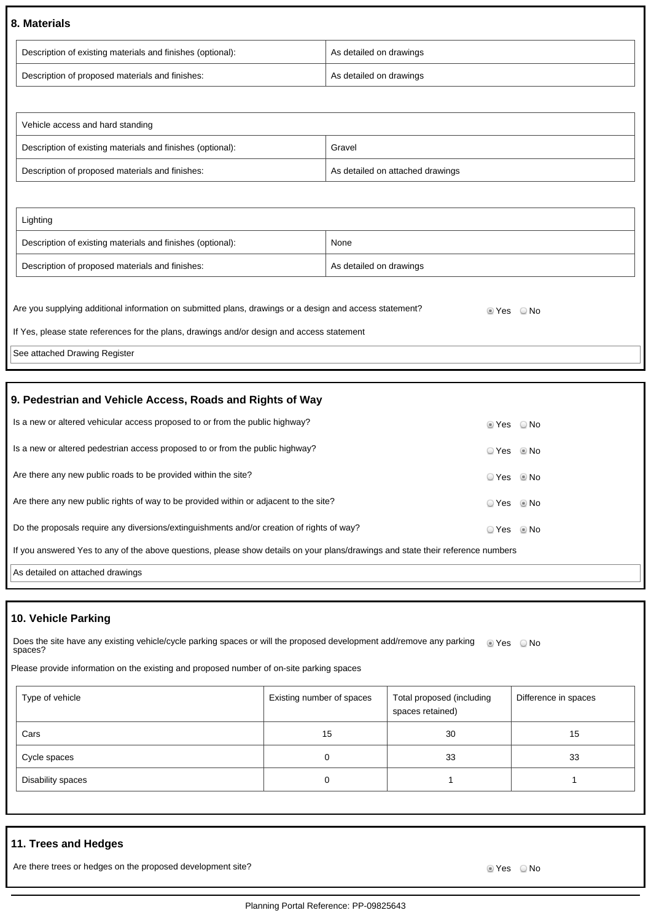### **8. Materials**

| Description of existing materials and finishes (optional): | As detailed on drawings |
|------------------------------------------------------------|-------------------------|
| Description of proposed materials and finishes:            | As detailed on drawings |

| Vehicle access and hard standing                           |                                  |
|------------------------------------------------------------|----------------------------------|
| Description of existing materials and finishes (optional): | Gravel                           |
| Description of proposed materials and finishes:            | As detailed on attached drawings |

| Lighting                                                   |                         |
|------------------------------------------------------------|-------------------------|
| Description of existing materials and finishes (optional): | None                    |
| Description of proposed materials and finishes:            | As detailed on drawings |

| Are you supplying additional information on submitted plans, drawings or a design and access statement? | lier ONo |  |
|---------------------------------------------------------------------------------------------------------|----------|--|
| If Yes, please state references for the plans, drawings and/or design and access statement              |          |  |
| See attached Drawing Register                                                                           |          |  |

## **9. Pedestrian and Vehicle Access, Roads and Rights of Way**

| Is a new or altered vehicular access proposed to or from the public highway?                                                    | $\circ$ Yes $\circ$ No |  |
|---------------------------------------------------------------------------------------------------------------------------------|------------------------|--|
| Is a new or altered pedestrian access proposed to or from the public highway?                                                   | $OYes$ Mo              |  |
| Are there any new public roads to be provided within the site?                                                                  | ○ Yes ◎ No             |  |
| Are there any new public rights of way to be provided within or adjacent to the site?                                           | ○ Yes ◎ No             |  |
| Do the proposals require any diversions/extinguishments and/or creation of rights of way?                                       | ○ Yes ◎ No             |  |
| If you answered Yes to any of the above questions, please show details on your plans/drawings and state their reference numbers |                        |  |
| As detailed on attached drawings                                                                                                |                        |  |

# **10. Vehicle Parking**

Does the site have any existing vehicle/cycle parking spaces or will the proposed development add/remove any parking Does the site have any existing vehicle/cycle parking spaces or will the proposed development add/remove any parking ● Yes ● No<br>spaces?

Please provide information on the existing and proposed number of on-site parking spaces

| Type of vehicle   | Existing number of spaces | Total proposed (including<br>spaces retained) | Difference in spaces |
|-------------------|---------------------------|-----------------------------------------------|----------------------|
| Cars              | 15                        | 30                                            | 15                   |
| Cycle spaces      | 0                         | 33                                            | 33                   |
| Disability spaces | 0                         |                                               |                      |

# **11. Trees and Hedges**

Are there trees or hedges on the proposed development site? Are not all the state of the South of the No No No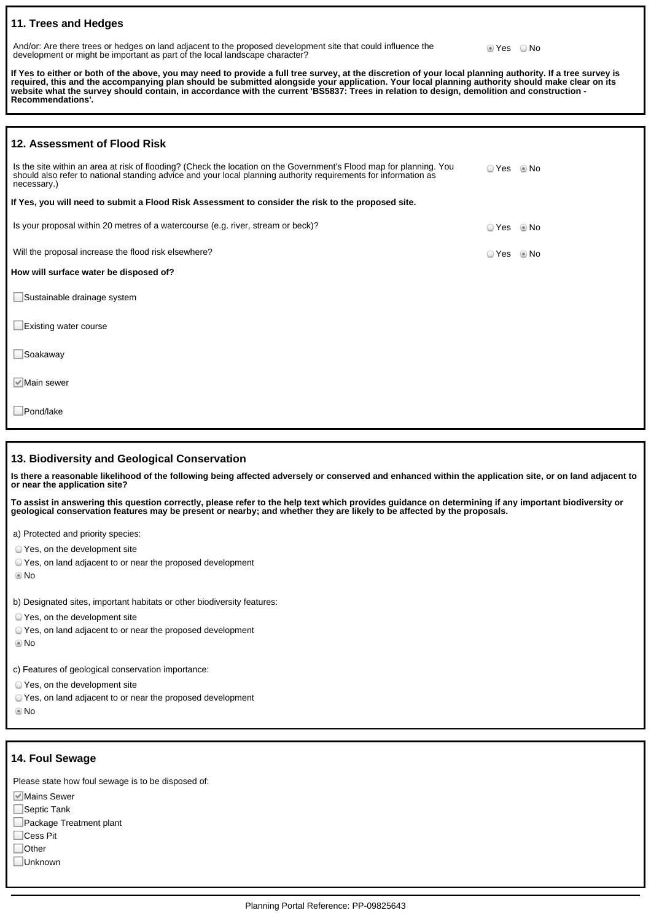### **11. Trees and Hedges**

And/or: Are there trees or hedges on land adjacent to the proposed development site that could influence the development or might be important as part of the local landscape character?

**Yes** No

**If Yes to either or both of the above, you may need to provide a full tree survey, at the discretion of your local planning authority. If a tree survey is required, this and the accompanying plan should be submitted alongside your application. Your local planning authority should make clear on its website what the survey should contain, in accordance with the current 'BS5837: Trees in relation to design, demolition and construction - Recommendations'.**

| 12. Assessment of Flood Risk                                                                                                                                                                                                                          |            |      |
|-------------------------------------------------------------------------------------------------------------------------------------------------------------------------------------------------------------------------------------------------------|------------|------|
| Is the site within an area at risk of flooding? (Check the location on the Government's Flood map for planning. You<br>should also refer to national standing advice and your local planning authority requirements for information as<br>necessary.) | ○ Yes      | © No |
| If Yes, you will need to submit a Flood Risk Assessment to consider the risk to the proposed site.                                                                                                                                                    |            |      |
| Is your proposal within 20 metres of a watercourse (e.g. river, stream or beck)?                                                                                                                                                                      | ○ Yes ◎ No |      |
| Will the proposal increase the flood risk elsewhere?                                                                                                                                                                                                  | ○ Yes      | © No |
| How will surface water be disposed of?                                                                                                                                                                                                                |            |      |
| $\Box$ Sustainable drainage system                                                                                                                                                                                                                    |            |      |
| $\Box$ Existing water course                                                                                                                                                                                                                          |            |      |
| $\Box$ Soakaway                                                                                                                                                                                                                                       |            |      |
| $\blacksquare$ Main sewer                                                                                                                                                                                                                             |            |      |
| Pond/lake                                                                                                                                                                                                                                             |            |      |

#### **13. Biodiversity and Geological Conservation**

**Is there a reasonable likelihood of the following being affected adversely or conserved and enhanced within the application site, or on land adjacent to or near the application site?**

**To assist in answering this question correctly, please refer to the help text which provides guidance on determining if any important biodiversity or geological conservation features may be present or nearby; and whether they are likely to be affected by the proposals.**

a) Protected and priority species:

Yes, on the development site

Yes, on land adjacent to or near the proposed development

No

b) Designated sites, important habitats or other biodiversity features:

Yes, on the development site

- Yes, on land adjacent to or near the proposed development
- No

c) Features of geological conservation importance:

Yes, on the development site

Yes, on land adjacent to or near the proposed development

No

#### **14. Foul Sewage**

Please state how foul sewage is to be disposed of:

**Mains Sewer** 

 $\Box$ Septic Tank

|  | Package Treatment plant |  |
|--|-------------------------|--|
|--|-------------------------|--|

□Cess Pit

□Other

Unknown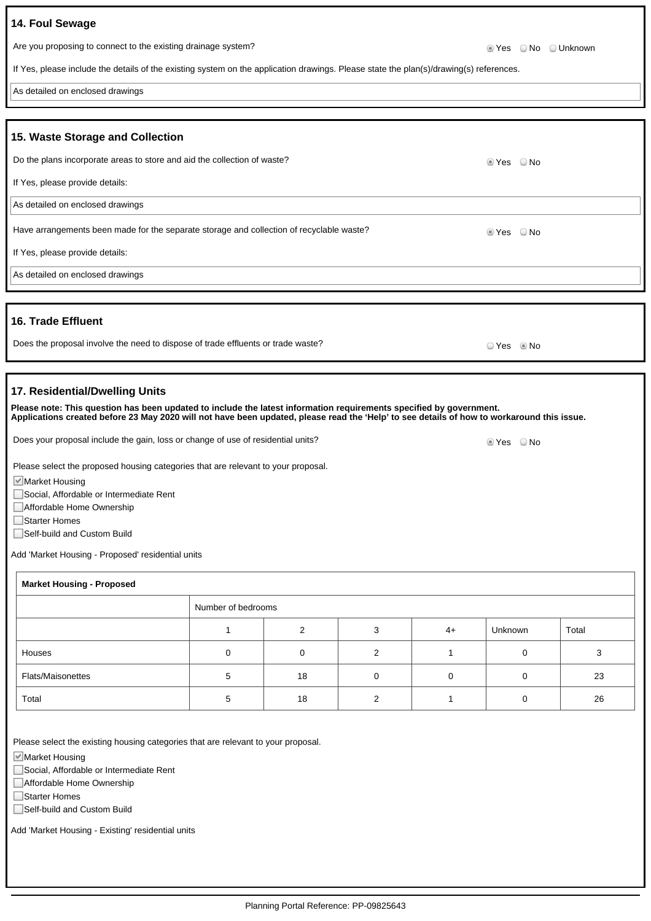| 14. Foul Sewage                                                                                                                                                                                                                                                                                     |       |                      |
|-----------------------------------------------------------------------------------------------------------------------------------------------------------------------------------------------------------------------------------------------------------------------------------------------------|-------|----------------------|
| Are you proposing to connect to the existing drainage system?                                                                                                                                                                                                                                       |       | ■ Yes © No © Unknown |
| If Yes, please include the details of the existing system on the application drawings. Please state the plan(s)/drawing(s) references.                                                                                                                                                              |       |                      |
| As detailed on enclosed drawings                                                                                                                                                                                                                                                                    |       |                      |
| 15. Waste Storage and Collection                                                                                                                                                                                                                                                                    |       |                      |
| Do the plans incorporate areas to store and aid the collection of waste?                                                                                                                                                                                                                            |       | ■ Yes © No           |
| If Yes, please provide details:                                                                                                                                                                                                                                                                     |       |                      |
| As detailed on enclosed drawings                                                                                                                                                                                                                                                                    |       |                      |
| Have arrangements been made for the separate storage and collection of recyclable waste?                                                                                                                                                                                                            | t Yes | ○ No                 |
| If Yes, please provide details:                                                                                                                                                                                                                                                                     |       |                      |
| As detailed on enclosed drawings                                                                                                                                                                                                                                                                    |       |                      |
| <b>16. Trade Effluent</b>                                                                                                                                                                                                                                                                           |       |                      |
| Does the proposal involve the need to dispose of trade effluents or trade waste?                                                                                                                                                                                                                    | ○ Yes | ® No                 |
| 17. Residential/Dwelling Units<br>Please note: This question has been updated to include the latest information requirements specified by government.<br>Applications created before 23 May 2020 will not have been updated, please read the 'Help' to see details of how to workaround this issue. |       |                      |

| <b>Market Housing - Proposed</b> |                    |          |   |      |         |       |
|----------------------------------|--------------------|----------|---|------|---------|-------|
|                                  | Number of bedrooms |          |   |      |         |       |
|                                  |                    | ົ        | ົ | $4+$ | Unknown | Total |
| Houses                           |                    | $\Omega$ |   |      |         |       |
| <b>Flats/Maisonettes</b>         |                    | 18       |   |      |         | 23    |
| Total                            |                    | 18       |   |      |         | 26    |

Does your proposal include the gain, loss or change of use of residential units? Does your proposal include the gain, loss or change of use of residential units?

Please select the existing housing categories that are relevant to your proposal.

Please select the proposed housing categories that are relevant to your proposal.

Market Housing

Market Housing

□Starter Homes

Social, Affordable or Intermediate Rent

Add 'Market Housing - Proposed' residential units

Affordable Home Ownership

■Self-build and Custom Build

Social, Affordable or Intermediate Rent

Affordable Home Ownership

□Starter Homes

Self-build and Custom Build

Add 'Market Housing - Existing' residential units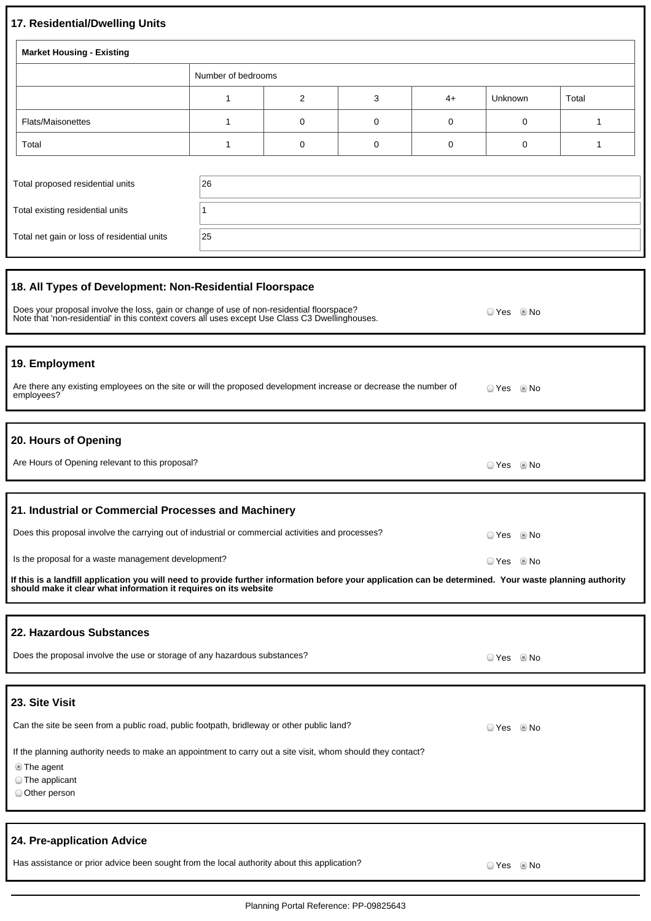# **17. Residential/Dwelling Units**

| 17. Residential/Dwelling Units                                                                                                                                                                                                                           |                                                                                                             |   |   |      |                |       |
|----------------------------------------------------------------------------------------------------------------------------------------------------------------------------------------------------------------------------------------------------------|-------------------------------------------------------------------------------------------------------------|---|---|------|----------------|-------|
| <b>Market Housing - Existing</b>                                                                                                                                                                                                                         |                                                                                                             |   |   |      |                |       |
|                                                                                                                                                                                                                                                          | Number of bedrooms                                                                                          |   |   |      |                |       |
|                                                                                                                                                                                                                                                          | 1                                                                                                           | 2 | 3 | $4+$ | Unknown        | Total |
| <b>Flats/Maisonettes</b>                                                                                                                                                                                                                                 | 1                                                                                                           | 0 | 0 | 0    | 0              | 1     |
| Total                                                                                                                                                                                                                                                    | 1                                                                                                           | 0 | 0 | 0    | 0              | 1     |
| Total proposed residential units                                                                                                                                                                                                                         | 26                                                                                                          |   |   |      |                |       |
| Total existing residential units                                                                                                                                                                                                                         | 1                                                                                                           |   |   |      |                |       |
| Total net gain or loss of residential units                                                                                                                                                                                                              | 25                                                                                                          |   |   |      |                |       |
| 18. All Types of Development: Non-Residential Floorspace<br>Does your proposal involve the loss, gain or change of use of non-residential floorspace?<br>Note that 'non-residential' in this context covers all uses except Use Class C3 Dwellinghouses. |                                                                                                             |   |   |      | ○ Yes ◎ No     |       |
| 19. Employment<br>Are there any existing employees on the site or will the proposed development increase or decrease the number of<br>employees?                                                                                                         |                                                                                                             |   |   |      | ⊙ Yes © No     |       |
| 20. Hours of Opening<br>Are Hours of Opening relevant to this proposal?<br>⊙ Yes © No                                                                                                                                                                    |                                                                                                             |   |   |      |                |       |
| 21. Industrial or Commercial Processes and Machinery                                                                                                                                                                                                     |                                                                                                             |   |   |      |                |       |
| Does this proposal involve the carrying out of industrial or commercial activities and processes?                                                                                                                                                        |                                                                                                             |   |   |      | © Yes     ® No |       |
| Is the proposal for a waste management development?                                                                                                                                                                                                      |                                                                                                             |   |   |      | © Yes     ® No |       |
| If this is a landfill application you will need to provide further information before your application can be determined. Your waste planning authority<br>should make it clear what information it requires on its website                              |                                                                                                             |   |   |      |                |       |
|                                                                                                                                                                                                                                                          |                                                                                                             |   |   |      |                |       |
| 22. Hazardous Substances<br>Does the proposal involve the use or storage of any hazardous substances?<br>⊙ Yes © No                                                                                                                                      |                                                                                                             |   |   |      |                |       |
| 23. Site Visit                                                                                                                                                                                                                                           |                                                                                                             |   |   |      |                |       |
| Can the site be seen from a public road, public footpath, bridleway or other public land?<br>○ Yes ◎ No                                                                                                                                                  |                                                                                                             |   |   |      |                |       |
| <b>The agent</b><br>The applicant<br>Other person                                                                                                                                                                                                        | If the planning authority needs to make an appointment to carry out a site visit, whom should they contact? |   |   |      |                |       |
| 24. Pre-application Advice                                                                                                                                                                                                                               |                                                                                                             |   |   |      |                |       |
| Has assistance or prior advice been sought from the local authority about this application?<br>OYes . Io No                                                                                                                                              |                                                                                                             |   |   |      |                |       |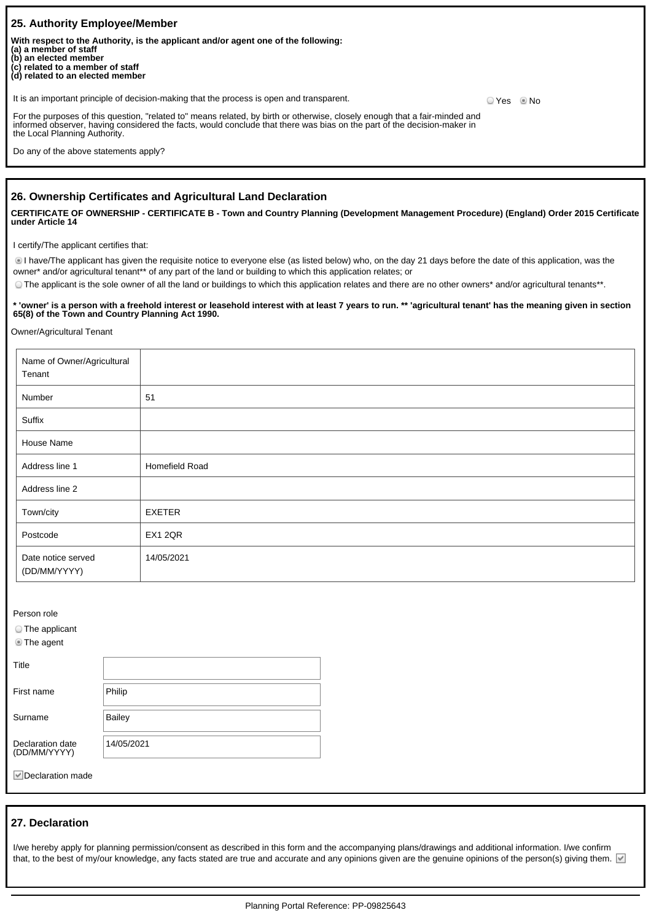| l 25. Authority Emplovee/Member                                                                                                                                                                                                                                                                         |                    |
|---------------------------------------------------------------------------------------------------------------------------------------------------------------------------------------------------------------------------------------------------------------------------------------------------------|--------------------|
| With respect to the Authority, is the applicant and/or agent one of the following:<br>  (a) a member of staff<br>(b) an elected member<br>$\left(\begin{matrix} 0 \\ 0 \end{matrix}\right)$ related to a member of staff $\left(\begin{matrix} d \\ d \end{matrix}\right)$ related to an elected member |                    |
| It is an important principle of decision-making that the process is open and transparent.                                                                                                                                                                                                               | O Yes           No |
| For the purposes of this question, "related to" means related, by birth or otherwise, closely enough that a fair-minded and<br>informed observer, having considered the facts, would conclude that there was bias on the part of the decision-maker in<br>the Local Planning Authority.                 |                    |
| Do any of the above statements apply?                                                                                                                                                                                                                                                                   |                    |

### **26. Ownership Certificates and Agricultural Land Declaration**

**CERTIFICATE OF OWNERSHIP - CERTIFICATE B - Town and Country Planning (Development Management Procedure) (England) Order 2015 Certificate under Article 14**

I certify/The applicant certifies that:

I have/The applicant has given the requisite notice to everyone else (as listed below) who, on the day 21 days before the date of this application, was the owner\* and/or agricultural tenant\*\* of any part of the land or building to which this application relates; or

The applicant is the sole owner of all the land or buildings to which this application relates and there are no other owners\* and/or agricultural tenants\*\*.

**\* 'owner' is a person with a freehold interest or leasehold interest with at least 7 years to run. \*\* 'agricultural tenant' has the meaning given in section 65(8) of the Town and Country Planning Act 1990.**

Owner/Agricultural Tenant

| Name of Owner/Agricultural<br>Tenant |                |
|--------------------------------------|----------------|
| Number                               | 51             |
| Suffix                               |                |
| House Name                           |                |
| Address line 1                       | Homefield Road |
| Address line 2                       |                |
| Town/city                            | EXETER         |
| Postcode                             | EX1 2QR        |
| Date notice served<br>(DD/MM/YYYY)   | 14/05/2021     |

| Person role                               |            |
|-------------------------------------------|------------|
| $\circ$ The applicant<br><b>The agent</b> |            |
| Title                                     |            |
| First name                                | Philip     |
| Surname                                   | Bailey     |
| Declaration date<br>(DD/MM/YYYY)          | 14/05/2021 |

Declaration made

#### **27. Declaration**

I/we hereby apply for planning permission/consent as described in this form and the accompanying plans/drawings and additional information. I/we confirm that, to the best of my/our knowledge, any facts stated are true and accurate and any opinions given are the genuine opinions of the person(s) giving them.